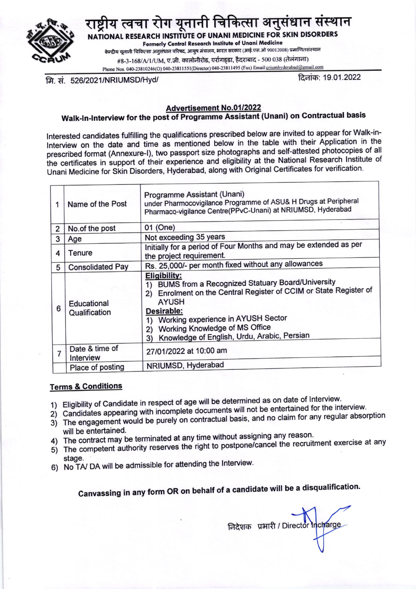

ष्ट्रीय त्वचा रोग यूनानी चिकित्सा अनुसंधान संस्थान

NATIONAL RESEARCH INSTITUTE OF UNANI MEDICINE FOR SKIN DISORDERS Formerly Central Research Institute of Unani Medicine

केन्द्रीय यूनानी चिकित्सा अनुसंधान परिषद, आयुष मंत्रालय, भारत सरकार (आई.एस.ओ 90012008) प्रमाणितसंस्थान #8-3-168/A/1/UM, ए.जी. कालोनीरोड, एर्रागड्डा, हैदराबाद - 500 038 (तेलंगाना) Phone Nos. 040-23810246(O) 040-23811551(Director) 040-23811495 (Fax) Email:criumhyderabad@gmail.com

मि. सं. 526/2021/NRIUMSD/Hyd/

दिनांक: 19.01.2022

## **Advertisement No.01/2022**

# Walk-In-Interview for the post of Programme Assistant (Unani) on Contractual basis

Interested candidates fulfilling the qualifications prescribed below are invited to appear for Walk-in-Interview on the date and time as mentioned below in the table with their Application in the prescribed format (Annexure-I), two passport size photographs and self-attested photocopies of all the certificates in support of their experience and eligibility at the National Research Institute of Unani Medicine for Skin Disorders, Hyderabad, along with Original Certificates for verification.

|                | Name of the Post             | Programme Assistant (Unani)<br>under Pharmocovigilance Programme of ASU& H Drugs at Peripheral<br>Pharmaco-vigilance Centre(PPvC-Unani) at NRIUMSD, Hyderabad                    |
|----------------|------------------------------|----------------------------------------------------------------------------------------------------------------------------------------------------------------------------------|
| $\overline{2}$ | No.of the post               | 01 (One)                                                                                                                                                                         |
| 3              | Age                          | Not exceeding 35 years                                                                                                                                                           |
| 4              | Tenure                       | Initially for a period of Four Months and may be extended as per<br>the project requirement.                                                                                     |
| 5              | <b>Consolidated Pay</b>      | Rs. 25,000/- per month fixed without any allowances                                                                                                                              |
| 6              | Educational<br>Qualification | <b>Eligibility:</b><br>BUMS from a Recognized Statuary Board/University<br>1)<br>2) Enrolment on the Central Register of CCIM or State Register of<br><b>AYUSH</b><br>Desirable: |
|                |                              | Working experience in AYUSH Sector<br>1)<br>Working Knowledge of MS Office<br>2)<br>Knowledge of English, Urdu, Arabic, Persian<br>3)                                            |
| $\overline{7}$ | Date & time of<br>Interview  | 27/01/2022 at 10:00 am                                                                                                                                                           |
|                | Place of posting             | NRIUMSD, Hyderabad                                                                                                                                                               |

### **Terms & Conditions**

- 1) Eligibility of Candidate in respect of age will be determined as on date of Interview.
- 2) Candidates appearing with incomplete documents will not be entertained for the interview.
- 3) The engagement would be purely on contractual basis, and no claim for any regular absorption will be entertained.
- 4) The contract may be terminated at any time without assigning any reason.
- 5) The competent authority reserves the right to postpone/cancel the recruitment exercise at any stage.
- 6) No TA/DA will be admissible for attending the Interview.

Canvassing in any form OR on behalf of a candidate will be a disqualification.

निदेशक प्रभारी / Director ncharge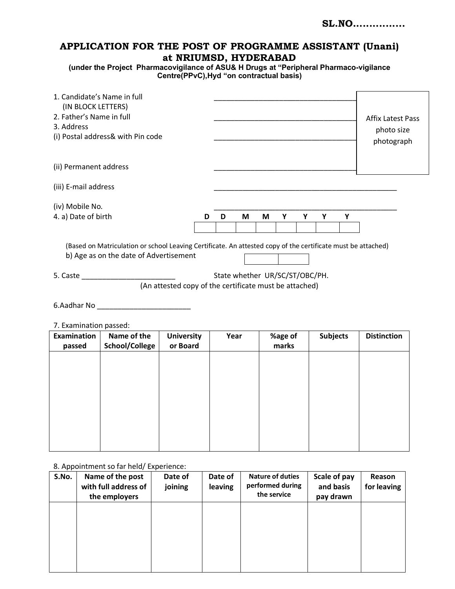## **APPLICATION FOR THE POST OF PROGRAMME ASSISTANT (Unani) at NRIUMSD, HYDERABAD**

**(under the Project Pharmacovigilance of ASU& H Drugs at "Peripheral Pharmaco-vigilance Centre(PPvC),Hyd "on contractual basis)** 

| 1. Candidate's Name in full<br>(IN BLOCK LETTERS)<br>2. Father's Name in full<br>3. Address | (i) Postal address& with Pin code                                                                                                                                                                                              |                                                        |                                |      |   |            |   |                 |   | <b>Affix Latest Pass</b><br>photo size<br>photograph |  |
|---------------------------------------------------------------------------------------------|--------------------------------------------------------------------------------------------------------------------------------------------------------------------------------------------------------------------------------|--------------------------------------------------------|--------------------------------|------|---|------------|---|-----------------|---|------------------------------------------------------|--|
| (ii) Permanent address                                                                      |                                                                                                                                                                                                                                |                                                        |                                |      |   |            |   |                 |   |                                                      |  |
| (iii) E-mail address                                                                        |                                                                                                                                                                                                                                |                                                        |                                |      |   |            |   |                 |   |                                                      |  |
| (iv) Mobile No.                                                                             |                                                                                                                                                                                                                                |                                                        |                                |      |   |            |   |                 |   |                                                      |  |
| 4. a) Date of birth                                                                         |                                                                                                                                                                                                                                | D                                                      | D                              | М    | М | Y          | Υ | Y               | Y |                                                      |  |
|                                                                                             | (Based on Matriculation or school Leaving Certificate. An attested copy of the certificate must be attached)<br>b) Age as on the date of Advertisement                                                                         |                                                        |                                |      |   |            |   |                 |   |                                                      |  |
| 5. Caste                                                                                    |                                                                                                                                                                                                                                | (An attested copy of the certificate must be attached) | State whether UR/SC/ST/OBC/PH. |      |   |            |   |                 |   |                                                      |  |
|                                                                                             | 6.Aadhar No Change and Changes and Changes and Changes and Changes and Changes and Changes and Changes and Changes and Changes and Changes and Changes and Changes and Changes and Changes and Changes and Changes and Changes |                                                        |                                |      |   |            |   |                 |   |                                                      |  |
| 7. Examination passed:                                                                      |                                                                                                                                                                                                                                |                                                        |                                |      |   |            |   |                 |   |                                                      |  |
|                                                                                             | Examination   Name of the                                                                                                                                                                                                      | <b>University</b>                                      |                                | Year |   | $%$ age of |   | <b>Subjects</b> |   | <b>Distinction</b>                                   |  |

| <b>Examination</b><br>passed | Name of the<br>School/College | <b>University</b><br>or Board | Year | %age of<br>marks | <b>Subjects</b> | <b>Distinction</b> |
|------------------------------|-------------------------------|-------------------------------|------|------------------|-----------------|--------------------|
|                              |                               |                               |      |                  |                 |                    |
|                              |                               |                               |      |                  |                 |                    |
|                              |                               |                               |      |                  |                 |                    |
|                              |                               |                               |      |                  |                 |                    |
|                              |                               |                               |      |                  |                 |                    |
|                              |                               |                               |      |                  |                 |                    |

### 8. Appointment so far held/ Experience:

| S.No. | Name of the post<br>with full address of<br>the employers | Date of<br>joining | Date of<br>leaving | <b>Nature of duties</b><br>performed during<br>the service | Scale of pay<br>and basis<br>pay drawn | Reason<br>for leaving |
|-------|-----------------------------------------------------------|--------------------|--------------------|------------------------------------------------------------|----------------------------------------|-----------------------|
|       |                                                           |                    |                    |                                                            |                                        |                       |
|       |                                                           |                    |                    |                                                            |                                        |                       |
|       |                                                           |                    |                    |                                                            |                                        |                       |